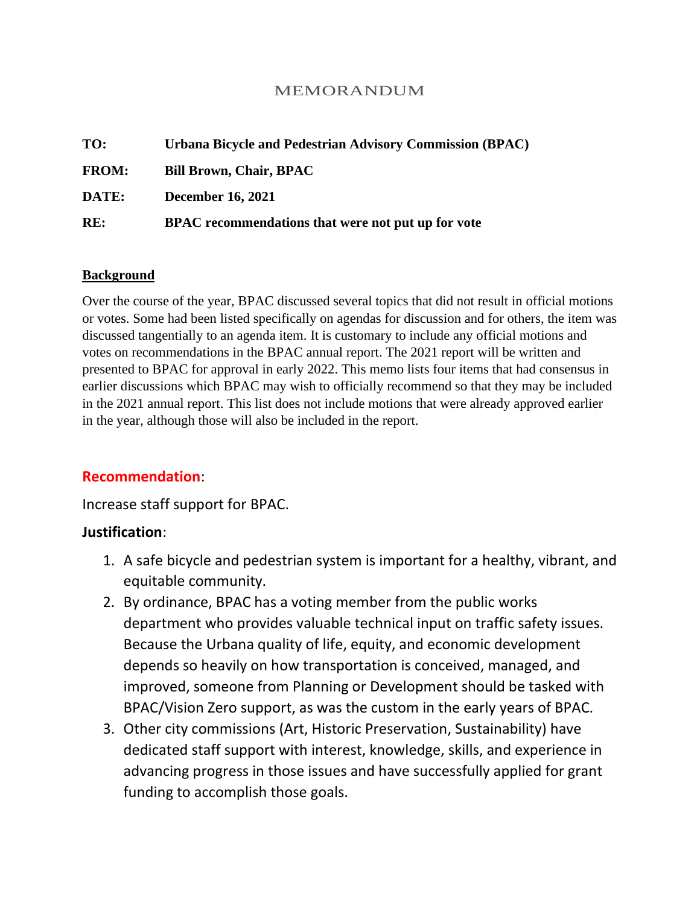### MEMORANDUM

| TO:          | Urbana Bicycle and Pedestrian Advisory Commission (BPAC) |
|--------------|----------------------------------------------------------|
| <b>FROM:</b> | <b>Bill Brown, Chair, BPAC</b>                           |
| DATE:        | <b>December 16, 2021</b>                                 |
| RE:          | BPAC recommendations that were not put up for vote       |

#### **Background**

Over the course of the year, BPAC discussed several topics that did not result in official motions or votes. Some had been listed specifically on agendas for discussion and for others, the item was discussed tangentially to an agenda item. It is customary to include any official motions and votes on recommendations in the BPAC annual report. The 2021 report will be written and presented to BPAC for approval in early 2022. This memo lists four items that had consensus in earlier discussions which BPAC may wish to officially recommend so that they may be included in the 2021 annual report. This list does not include motions that were already approved earlier in the year, although those will also be included in the report.

### **Recommendation**:

Increase staff support for BPAC.

#### **Justification**:

- 1. A safe bicycle and pedestrian system is important for a healthy, vibrant, and equitable community.
- 2. By ordinance, BPAC has a voting member from the public works department who provides valuable technical input on traffic safety issues. Because the Urbana quality of life, equity, and economic development depends so heavily on how transportation is conceived, managed, and improved, someone from Planning or Development should be tasked with BPAC/Vision Zero support, as was the custom in the early years of BPAC.
- 3. Other city commissions (Art, Historic Preservation, Sustainability) have dedicated staff support with interest, knowledge, skills, and experience in advancing progress in those issues and have successfully applied for grant funding to accomplish those goals.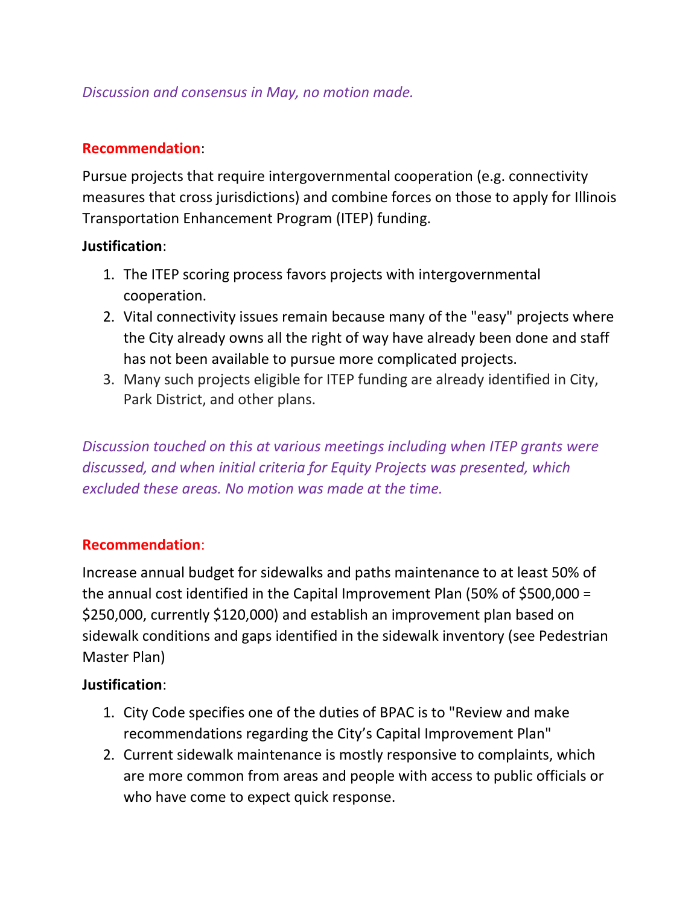# *Discussion and consensus in May, no motion made.*

## **Recommendation**:

Pursue projects that require intergovernmental cooperation (e.g. connectivity measures that cross jurisdictions) and combine forces on those to apply for Illinois Transportation Enhancement Program (ITEP) funding.

### **Justification**:

- 1. The ITEP scoring process favors projects with intergovernmental cooperation.
- 2. Vital connectivity issues remain because many of the "easy" projects where the City already owns all the right of way have already been done and staff has not been available to pursue more complicated projects.
- 3. Many such projects eligible for ITEP funding are already identified in City, Park District, and other plans.

*Discussion touched on this at various meetings including when ITEP grants were discussed, and when initial criteria for Equity Projects was presented, which excluded these areas. No motion was made at the time.*

## **Recommendation**:

Increase annual budget for sidewalks and paths maintenance to at least 50% of the annual cost identified in the Capital Improvement Plan (50% of \$500,000 = \$250,000, currently \$120,000) and establish an improvement plan based on sidewalk conditions and gaps identified in the sidewalk inventory (see Pedestrian Master Plan)

## **Justification**:

- 1. City Code specifies one of the duties of BPAC is to "Review and make recommendations regarding the City's Capital Improvement Plan"
- 2. Current sidewalk maintenance is mostly responsive to complaints, which are more common from areas and people with access to public officials or who have come to expect quick response.